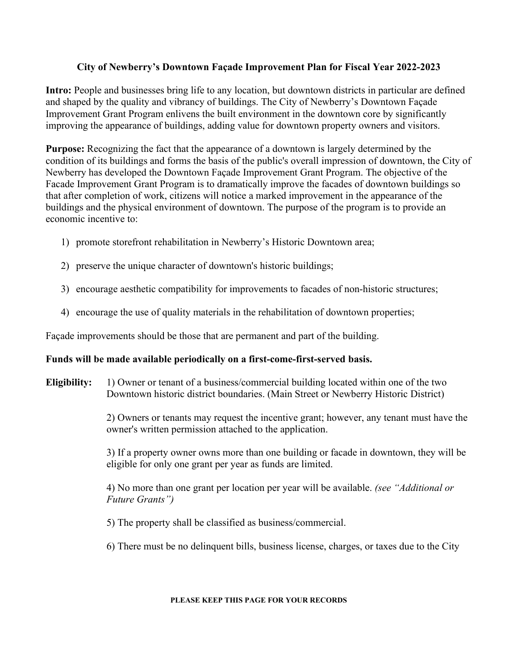# **City of Newberry's Downtown Façade Improvement Plan for Fiscal Year 2022-2023**

**Intro:** People and businesses bring life to any location, but downtown districts in particular are defined and shaped by the quality and vibrancy of buildings. The City of Newberry's Downtown Façade Improvement Grant Program enlivens the built environment in the downtown core by significantly improving the appearance of buildings, adding value for downtown property owners and visitors.

**Purpose:** Recognizing the fact that the appearance of a downtown is largely determined by the condition of its buildings and forms the basis of the public's overall impression of downtown, the City of Newberry has developed the Downtown Façade Improvement Grant Program. The objective of the Facade Improvement Grant Program is to dramatically improve the facades of downtown buildings so that after completion of work, citizens will notice a marked improvement in the appearance of the buildings and the physical environment of downtown. The purpose of the program is to provide an economic incentive to:

- 1) promote storefront rehabilitation in Newberry's Historic Downtown area;
- 2) preserve the unique character of downtown's historic buildings;
- 3) encourage aesthetic compatibility for improvements to facades of non-historic structures;
- 4) encourage the use of quality materials in the rehabilitation of downtown properties;

Façade improvements should be those that are permanent and part of the building.

### **Funds will be made available periodically on a first-come-first-served basis.**

**Eligibility:** 1) Owner or tenant of a business/commercial building located within one of the two Downtown historic district boundaries. (Main Street or Newberry Historic District)

> 2) Owners or tenants may request the incentive grant; however, any tenant must have the owner's written permission attached to the application.

> 3) If a property owner owns more than one building or facade in downtown, they will be eligible for only one grant per year as funds are limited.

4) No more than one grant per location per year will be available. *(see "Additional or Future Grants")*

- 5) The property shall be classified as business/commercial.
- 6) There must be no delinquent bills, business license, charges, or taxes due to the City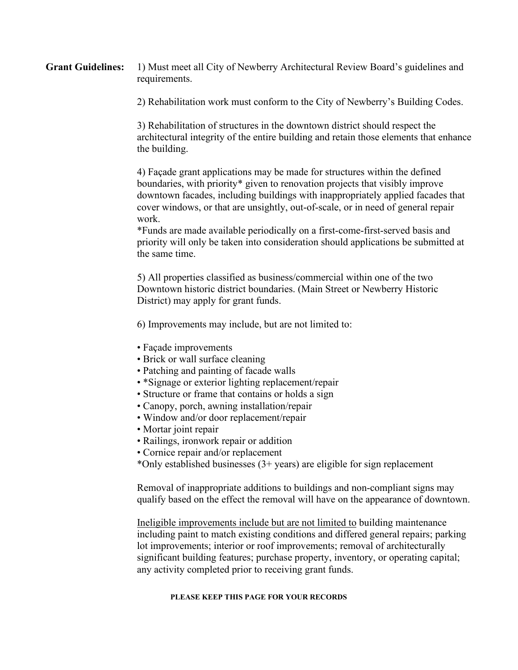**Grant Guidelines:** 1) Must meet all City of Newberry Architectural Review Board's guidelines and requirements.

2) Rehabilitation work must conform to the City of Newberry's Building Codes.

3) Rehabilitation of structures in the downtown district should respect the architectural integrity of the entire building and retain those elements that enhance the building.

4) Façade grant applications may be made for structures within the defined boundaries, with priority\* given to renovation projects that visibly improve downtown facades, including buildings with inappropriately applied facades that cover windows, or that are unsightly, out-of-scale, or in need of general repair work.

\*Funds are made available periodically on a first-come-first-served basis and priority will only be taken into consideration should applications be submitted at the same time.

5) All properties classified as business/commercial within one of the two Downtown historic district boundaries. (Main Street or Newberry Historic District) may apply for grant funds.

6) Improvements may include, but are not limited to:

- Façade improvements
- Brick or wall surface cleaning
- Patching and painting of facade walls
- \*Signage or exterior lighting replacement/repair
- Structure or frame that contains or holds a sign
- Canopy, porch, awning installation/repair
- Window and/or door replacement/repair
- Mortar joint repair
- Railings, ironwork repair or addition
- Cornice repair and/or replacement
- \*Only established businesses (3+ years) are eligible for sign replacement

Removal of inappropriate additions to buildings and non-compliant signs may qualify based on the effect the removal will have on the appearance of downtown.

Ineligible improvements include but are not limited to building maintenance including paint to match existing conditions and differed general repairs; parking lot improvements; interior or roof improvements; removal of architecturally significant building features; purchase property, inventory, or operating capital; any activity completed prior to receiving grant funds.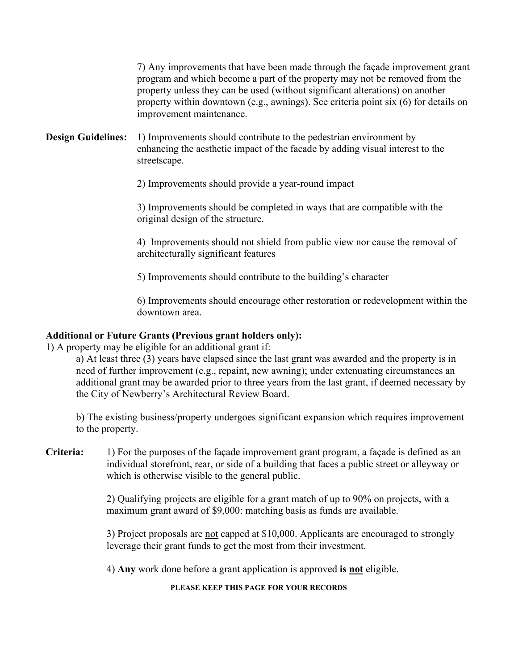7) Any improvements that have been made through the façade improvement grant program and which become a part of the property may not be removed from the property unless they can be used (without significant alterations) on another property within downtown (e.g., awnings). See criteria point six (6) for details on improvement maintenance.

**Design Guidelines:** 1) Improvements should contribute to the pedestrian environment by enhancing the aesthetic impact of the facade by adding visual interest to the streetscape.

2) Improvements should provide a year-round impact

3) Improvements should be completed in ways that are compatible with the original design of the structure.

4) Improvements should not shield from public view nor cause the removal of architecturally significant features

5) Improvements should contribute to the building's character

6) Improvements should encourage other restoration or redevelopment within the downtown area.

### **Additional or Future Grants (Previous grant holders only):**

1) A property may be eligible for an additional grant if:

a) At least three (3) years have elapsed since the last grant was awarded and the property is in need of further improvement (e.g., repaint, new awning); under extenuating circumstances an additional grant may be awarded prior to three years from the last grant, if deemed necessary by the City of Newberry's Architectural Review Board.

b) The existing business/property undergoes significant expansion which requires improvement to the property.

**Criteria:** 1) For the purposes of the façade improvement grant program, a façade is defined as an individual storefront, rear, or side of a building that faces a public street or alleyway or which is otherwise visible to the general public.

> 2) Qualifying projects are eligible for a grant match of up to 90% on projects, with a maximum grant award of \$9,000: matching basis as funds are available.

3) Project proposals are not capped at \$10,000. Applicants are encouraged to strongly leverage their grant funds to get the most from their investment.

4) **Any** work done before a grant application is approved **is not** eligible.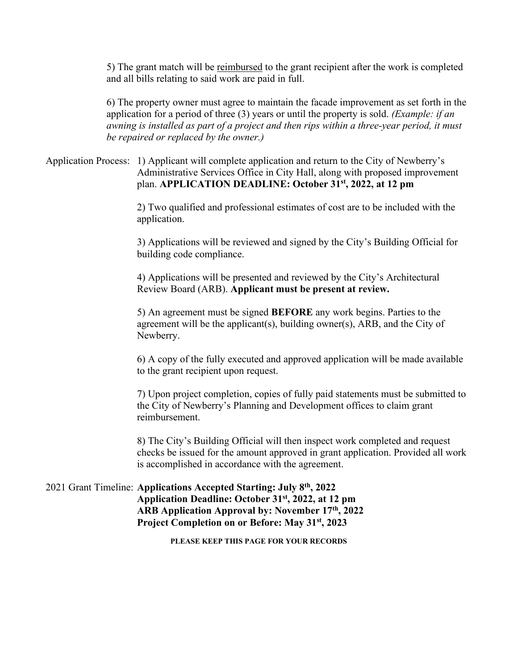5) The grant match will be reimbursed to the grant recipient after the work is completed and all bills relating to said work are paid in full.

6) The property owner must agree to maintain the facade improvement as set forth in the application for a period of three (3) years or until the property is sold. *(Example: if an awning is installed as part of a project and then rips within a three-year period, it must be repaired or replaced by the owner.)* 

## Application Process: 1) Applicant will complete application and return to the City of Newberry's Administrative Services Office in City Hall, along with proposed improvement plan. **APPLICATION DEADLINE: October 31st, 2022, at 12 pm**

2) Two qualified and professional estimates of cost are to be included with the application.

3) Applications will be reviewed and signed by the City's Building Official for building code compliance.

4) Applications will be presented and reviewed by the City's Architectural Review Board (ARB). **Applicant must be present at review.**

5) An agreement must be signed **BEFORE** any work begins. Parties to the agreement will be the applicant(s), building owner(s), ARB, and the City of Newberry.

6) A copy of the fully executed and approved application will be made available to the grant recipient upon request.

7) Upon project completion, copies of fully paid statements must be submitted to the City of Newberry's Planning and Development offices to claim grant reimbursement.

8) The City's Building Official will then inspect work completed and request checks be issued for the amount approved in grant application. Provided all work is accomplished in accordance with the agreement.

## 2021 Grant Timeline: **Applications Accepted Starting: July 8th, 2022 Application Deadline: October 31st, 2022, at 12 pm ARB Application Approval by: November 17th, 2022 Project Completion on or Before: May 31st, 2023**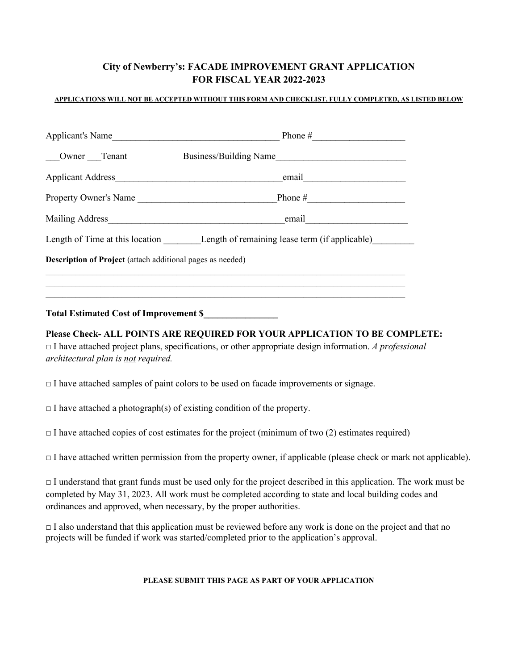# **City of Newberry's: FACADE IMPROVEMENT GRANT APPLICATION FOR FISCAL YEAR 2022-2023**

### **APPLICATIONS WILL NOT BE ACCEPTED WITHOUT THIS FORM AND CHECKLIST, FULLY COMPLETED, AS LISTED BELOW**

| Applicant's Name                                           | Phone #                                                                        |  |
|------------------------------------------------------------|--------------------------------------------------------------------------------|--|
| Owner Tenant                                               | Business/Building Name                                                         |  |
| Applicant Address                                          | email                                                                          |  |
| Property Owner's Name                                      | Phone $\#$                                                                     |  |
| Mailing Address                                            | email                                                                          |  |
|                                                            | Length of Time at this location Length of remaining lease term (if applicable) |  |
| Description of Project (attach additional pages as needed) |                                                                                |  |
|                                                            |                                                                                |  |
| <b>Total Estimated Cost of Improvement \$</b>              |                                                                                |  |
|                                                            |                                                                                |  |

**Please Check- ALL POINTS ARE REQUIRED FOR YOUR APPLICATION TO BE COMPLETE:**  □ I have attached project plans, specifications, or other appropriate design information. *A professional architectural plan is not required.* 

 $\Box$  I have attached samples of paint colors to be used on facade improvements or signage.

 $\Box$  I have attached a photograph(s) of existing condition of the property.

 $\Box$  I have attached copies of cost estimates for the project (minimum of two (2) estimates required)

 $\Box$  I have attached written permission from the property owner, if applicable (please check or mark not applicable).

 $\Box$  I understand that grant funds must be used only for the project described in this application. The work must be completed by May 31, 2023. All work must be completed according to state and local building codes and ordinances and approved, when necessary, by the proper authorities.

 $\Box$  I also understand that this application must be reviewed before any work is done on the project and that no projects will be funded if work was started/completed prior to the application's approval.

#### **PLEASE SUBMIT THIS PAGE AS PART OF YOUR APPLICATION**